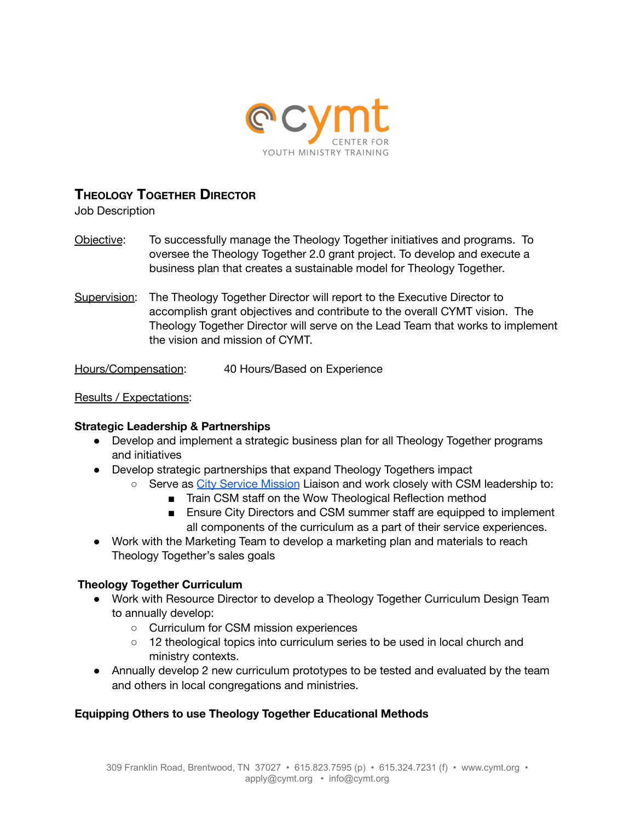

# **THEOLOGY TOGETHER DIRECTOR**

Job Description

- Objective: To successfully manage the Theology Together initiatives and programs. To oversee the Theology Together 2.0 grant project. To develop and execute a business plan that creates a sustainable model for Theology Together.
- Supervision: The Theology Together Director will report to the Executive Director to accomplish grant objectives and contribute to the overall CYMT vision. The Theology Together Director will serve on the Lead Team that works to implement the vision and mission of CYMT.

Hours/Compensation: 40 Hours/Based on Experience

#### Results / Expectations:

#### **Strategic Leadership & Partnerships**

- Develop and implement a strategic business plan for all Theology Together programs and initiatives
- Develop strategic partnerships that expand Theology Togethers impact
	- Serve as *City Service [Mission](https://csm.org/)* Liaison and work closely with CSM leadership to:
		- Train CSM staff on the Wow Theological Reflection method
		- Ensure City Directors and CSM summer staff are equipped to implement all components of the curriculum as a part of their service experiences.
- Work with the Marketing Team to develop a marketing plan and materials to reach Theology Together's sales goals

#### **Theology Together Curriculum**

- Work with Resource Director to develop a Theology Together Curriculum Design Team to annually develop:
	- Curriculum for CSM mission experiences
	- 12 theological topics into curriculum series to be used in local church and ministry contexts.
- Annually develop 2 new curriculum prototypes to be tested and evaluated by the team and others in local congregations and ministries.

## **Equipping Others to use Theology Together Educational Methods**